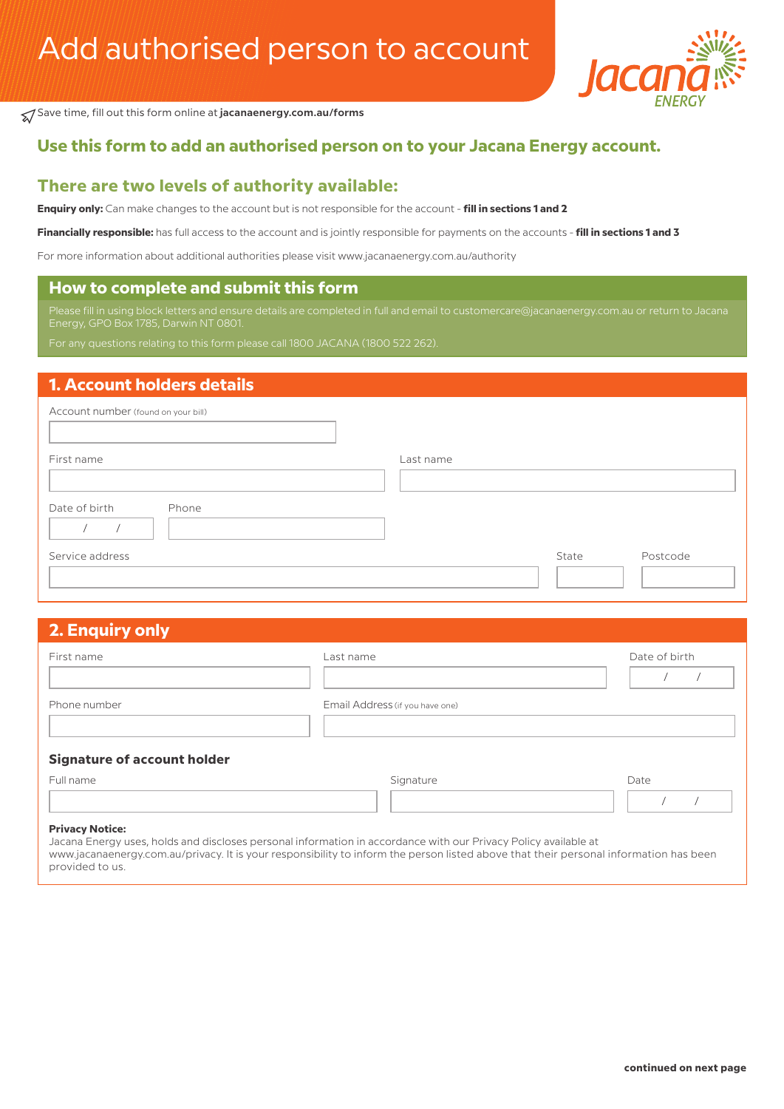

Save time, fill out this form online at **jacanaenergy.com.au/forms**

# **Use this form to add an authorised person on to your Jacana Energy account.**

### **There are two levels of authority available:**

**Enquiry only:** Can make changes to the account but is not responsible for the account - **fill in sections 1 and 2** 

**Financially responsible:** has full access to the account and is jointly responsible for payments on the accounts - **fill in sections 1 and 3**

For more information about additional authorities please visit www.jacanaenergy.com.au/authority

#### **How to complete and submit this form**

Please fill in using block letters and ensure details are completed in full and email to customercare@jacanaenergy.com.au or return to Jacana

### **1. Account holders details**

| Account number (found on your bill) |           |       |          |
|-------------------------------------|-----------|-------|----------|
| First name                          | Last name |       |          |
| Date of birth<br>Phone              |           |       |          |
| Service address                     |           | State | Postcode |

# **2. Enquiry only**

| First name                         | Last name                       | Date of birth |
|------------------------------------|---------------------------------|---------------|
| Phone number                       | Email Address (if you have one) |               |
| <b>Signature of account holder</b> |                                 |               |
| Full name                          | Signature                       | Date          |
| <b>Privacy Notice:</b>             |                                 |               |

Jacana Energy uses, holds and discloses personal information in accordance with our Privacy Policy available at

www.jacanaenergy.com.au/privacy. It is your responsibility to inform the person listed above that their personal information has been provided to us.